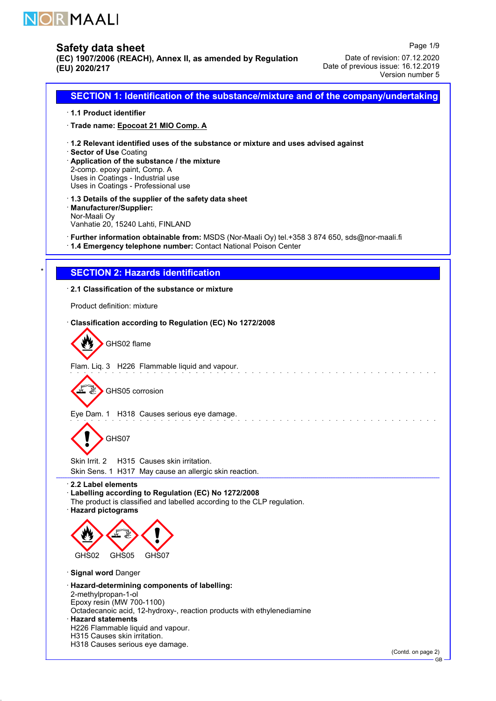

52.0.1

# Safety data sheet

(EC) 1907/2006 (REACH), Annex II, as amended by Regulation (EU) 2020/217

Page 1/9 Date of revision: 07.12.2020 Date of previous issue: 16.12.2019 Version number 5

· 1.1 Product identifier · Trade name: Epocoat 21 MIO Comp. A · 1.2 Relevant identified uses of the substance or mixture and uses advised against · Sector of Use Coating · Application of the substance / the mixture 2-comp. epoxy paint, Comp. A Uses in Coatings - Industrial use Uses in Coatings - Professional use · 1.3 Details of the supplier of the safety data sheet · Manufacturer/Supplier: Nor-Maali Oy Vanhatie 20, 15240 Lahti, FINLAND · Further information obtainable from: MSDS (Nor-Maali Oy) tel.+358 3 874 650, sds@nor-maali.fi · 1.4 Emergency telephone number: Contact National Poison Center **SECTION 2: Hazards identification** · 2.1 Classification of the substance or mixture Product definition: mixture · Classification according to Regulation (EC) No 1272/2008 GHS02 flame Flam. Liq. 3 H226 Flammable liquid and vapour. 曑 GHS05 corrosion Eye Dam. 1 H318 Causes serious eye damage. GHS07 Skin Irrit. 2 H315 Causes skin irritation. Skin Sens. 1 H317 May cause an allergic skin reaction. · 2.2 Label elements · Labelling according to Regulation (EC) No 1272/2008 The product is classified and labelled according to the CLP regulation. · Hazard pictograms GHS02 GHS05 GHS07 · Signal word Danger · Hazard-determining components of labelling: 2-methylpropan-1-ol Epoxy resin (MW 700-1100) Octadecanoic acid, 12-hydroxy-, reaction products with ethylenediamine · Hazard statements H226 Flammable liquid and vapour. H315 Causes skin irritation. H318 Causes serious eye damage.

SECTION 1: Identification of the substance/mixture and of the company/undertaking

(Contd. on page 2)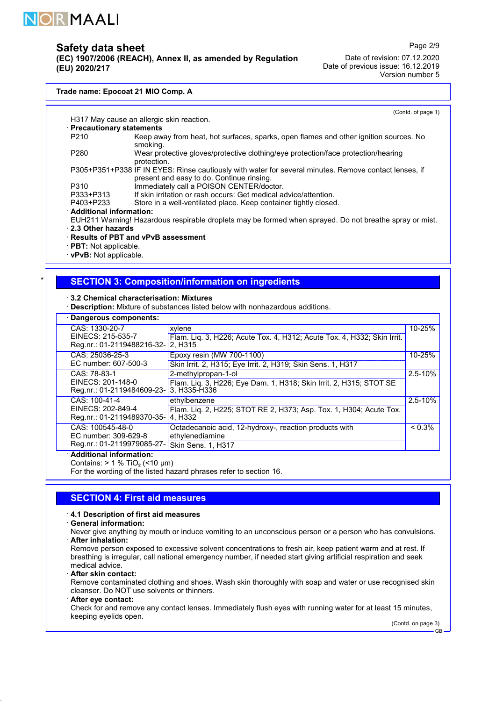

(EC) 1907/2006 (REACH), Annex II, as amended by Regulation (EU) 2020/217

Date of revision: 07.12.2020 Date of previous issue: 16.12.2019 Version number 5

#### Trade name: Epocoat 21 MIO Comp. A

(Contd. of page 1)

Page 2/9

H317 May cause an allergic skin reaction. · Precautionary statements P210 Keep away from heat, hot surfaces, sparks, open flames and other ignition sources. No smoking. P280 Wear protective gloves/protective clothing/eye protection/face protection/hearing protection. P305+P351+P338 IF IN EYES: Rinse cautiously with water for several minutes. Remove contact lenses, if present and easy to do. Continue rinsing. P310 Immediately call a POISON CENTER/doctor.<br>P333+P313 If skin irritation or rash occurs: Get medical a P333+P313 If skin irritation or rash occurs: Get medical advice/attention.<br>P403+P233 Store in a well-ventilated place. Keep container tightly closed Store in a well-ventilated place. Keep container tightly closed. · Additional information: EUH211 Warning! Hazardous respirable droplets may be formed when sprayed. Do not breathe spray or mist. · 2.3 Other hazards · Results of PBT and vPvB assessment

· PBT: Not applicable.

· vPvB: Not applicable.

# **SECTION 3: Composition/information on ingredients**

· 3.2 Chemical characterisation: Mixtures

· Description: Mixture of substances listed below with nonhazardous additions.

#### · Dangerous components: CAS: 1330-20-7 EINECS: 215-535-7 Reg.nr.: 01-2119488216-32 xylene Flam. Liq. 3, H226; Acute Tox. 4, H312; Acute Tox. 4, H332; Skin Irrit. 2, H315 10-25% CAS: 25036-25-3 EC number: 607-500-3 Epoxy resin (MW 700-1100) Skin Irrit. 2, H315; Eye Irrit. 2, H319; Skin Sens. 1, H317 10-25% CAS: 78-83-1 EINECS: 201-148-0 Reg.nr.: 01-2119484609-23- 2-methylpropan-1-ol Flam. Liq. 3, H226; Eye Dam. 1, H318; Skin Irrit. 2, H315; STOT SE 3, H335-H336 2.5-10% CAS: 100-41-4 EINECS: 202-849-4 Reg.nr.: 01-2119489370-35 ethylbenzene Flam. Liq. 2, H225; STOT RE 2, H373; Asp. Tox. 1, H304; Acute Tox. 4, H332  $2.5 - 10%$ CAS: 100545-48-0 EC number: 309-629-8 Reg.nr.: 01-2119979085-27- Octadecanoic acid, 12-hydroxy-, reaction products with ethylenediamine Skin Sens. 1, H317  $\leq 0.3\%$ Additional information:

Contains:  $> 1 %$  TiO<sub>2</sub> (<10 µm)

For the wording of the listed hazard phrases refer to section 16.

### SECTION 4: First aid measures

#### · 4.1 Description of first aid measures

#### · General information:

Never give anything by mouth or induce vomiting to an unconscious person or a person who has convulsions. · After inhalation:

Remove person exposed to excessive solvent concentrations to fresh air, keep patient warm and at rest. If breathing is irregular, call national emergency number, if needed start giving artificial respiration and seek medical advice.

After skin contact:

Remove contaminated clothing and shoes. Wash skin thoroughly with soap and water or use recognised skin cleanser. Do NOT use solvents or thinners.

#### · After eye contact:

52.0.1

Check for and remove any contact lenses. Immediately flush eyes with running water for at least 15 minutes, keeping eyelids open.

(Contd. on page 3)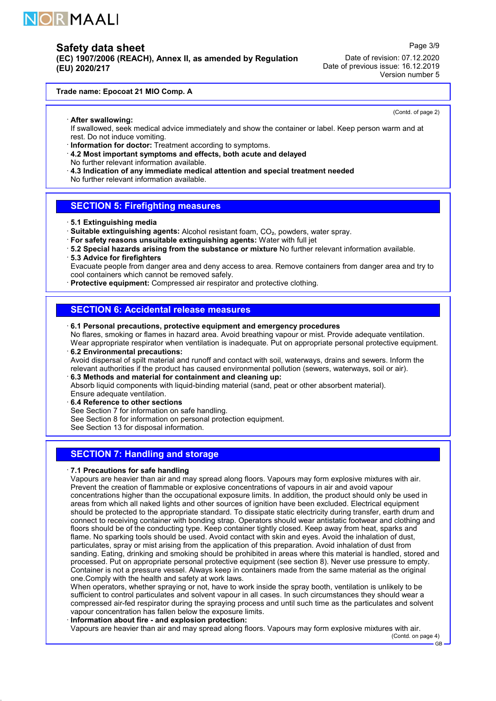

(EC) 1907/2006 (REACH), Annex II, as amended by Regulation (EU) 2020/217

Date of revision: 07.12.2020 Date of previous issue: 16.12.2019 Version number 5

#### Trade name: Epocoat 21 MIO Comp. A

(Contd. of page 2)

Page 3/9

· After swallowing: If swallowed, seek medical advice immediately and show the container or label. Keep person warm and at rest. Do not induce vomiting.

· Information for doctor: Treatment according to symptoms.

- · 4.2 Most important symptoms and effects, both acute and delayed
- No further relevant information available.
- · 4.3 Indication of any immediate medical attention and special treatment needed
- No further relevant information available.

### SECTION 5: Firefighting measures

### · 5.1 Extinguishing media

- · Suitable extinguishing agents: Alcohol resistant foam, CO₂, powders, water spray.
- · For safety reasons unsuitable extinguishing agents: Water with full jet
- · 5.2 Special hazards arising from the substance or mixture No further relevant information available.
- · 5.3 Advice for firefighters

Evacuate people from danger area and deny access to area. Remove containers from danger area and try to cool containers which cannot be removed safely.

· Protective equipment: Compressed air respirator and protective clothing.

### SECTION 6: Accidental release measures

· 6.1 Personal precautions, protective equipment and emergency procedures

No flares, smoking or flames in hazard area. Avoid breathing vapour or mist. Provide adequate ventilation. Wear appropriate respirator when ventilation is inadequate. Put on appropriate personal protective equipment. · 6.2 Environmental precautions:

Avoid dispersal of spilt material and runoff and contact with soil, waterways, drains and sewers. Inform the relevant authorities if the product has caused environmental pollution (sewers, waterways, soil or air).

### · 6.3 Methods and material for containment and cleaning up:

Absorb liquid components with liquid-binding material (sand, peat or other absorbent material). Ensure adequate ventilation.

6.4 Reference to other sections

See Section 7 for information on safe handling.

See Section 8 for information on personal protection equipment.

See Section 13 for disposal information.

# **SECTION 7: Handling and storage**

#### · 7.1 Precautions for safe handling

52.0.1

Vapours are heavier than air and may spread along floors. Vapours may form explosive mixtures with air. Prevent the creation of flammable or explosive concentrations of vapours in air and avoid vapour concentrations higher than the occupational exposure limits. In addition, the product should only be used in areas from which all naked lights and other sources of ignition have been excluded. Electrical equipment should be protected to the appropriate standard. To dissipate static electricity during transfer, earth drum and connect to receiving container with bonding strap. Operators should wear antistatic footwear and clothing and floors should be of the conducting type. Keep container tightly closed. Keep away from heat, sparks and flame. No sparking tools should be used. Avoid contact with skin and eyes. Avoid the inhalation of dust, particulates, spray or mist arising from the application of this preparation. Avoid inhalation of dust from sanding. Eating, drinking and smoking should be prohibited in areas where this material is handled, stored and processed. Put on appropriate personal protective equipment (see section 8). Never use pressure to empty. Container is not a pressure vessel. Always keep in containers made from the same material as the original one.Comply with the health and safety at work laws.

When operators, whether spraying or not, have to work inside the spray booth, ventilation is unlikely to be sufficient to control particulates and solvent vapour in all cases. In such circumstances they should wear a compressed air-fed respirator during the spraying process and until such time as the particulates and solvent vapour concentration has fallen below the exposure limits.

#### · Information about fire - and explosion protection:

Vapours are heavier than air and may spread along floors. Vapours may form explosive mixtures with air.

(Contd. on page 4)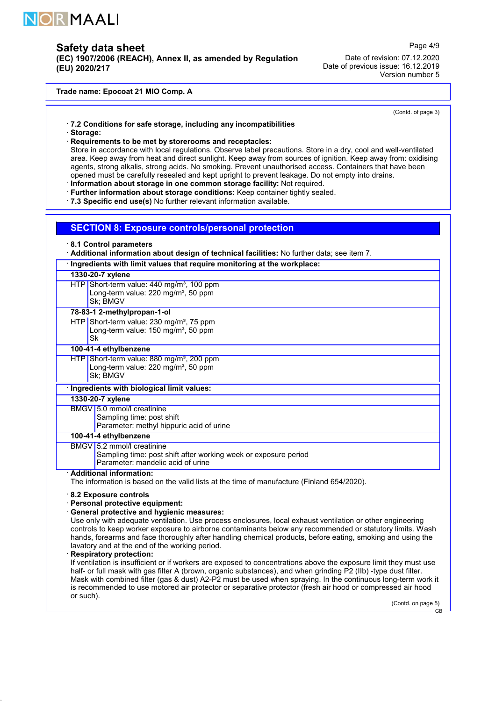

(EC) 1907/2006 (REACH), Annex II, as amended by Regulation (EU) 2020/217

Page 4/9

Date of revision: 07.12.2020 Date of previous issue: 16.12.2019 Version number 5

#### Trade name: Epocoat 21 MIO Comp. A

(Contd. of page 3)

- · 7.2 Conditions for safe storage, including any incompatibilities
- · Storage:
- · Requirements to be met by storerooms and receptacles:

Store in accordance with local regulations. Observe label precautions. Store in a dry, cool and well-ventilated area. Keep away from heat and direct sunlight. Keep away from sources of ignition. Keep away from: oxidising agents, strong alkalis, strong acids. No smoking. Prevent unauthorised access. Containers that have been opened must be carefully resealed and kept upright to prevent leakage. Do not empty into drains.

- · Information about storage in one common storage facility: Not required.
- · Further information about storage conditions: Keep container tightly sealed.

· 7.3 Specific end use(s) No further relevant information available.

#### SECTION 8: Exposure controls/personal protection

· 8.1 Control parameters

· Additional information about design of technical facilities: No further data; see item 7.

|                  | $\cdot$ Ingredients with limit values that require monitoring at the workplace:                                                    |  |  |  |
|------------------|------------------------------------------------------------------------------------------------------------------------------------|--|--|--|
| 1330-20-7 xylene |                                                                                                                                    |  |  |  |
|                  | $HTP$ Short-term value: 440 mg/m <sup>3</sup> , 100 ppm<br>Long-term value: 220 mg/m <sup>3</sup> , 50 ppm<br>Sk; BMGV             |  |  |  |
|                  | 78-83-1 2-methylpropan-1-ol                                                                                                        |  |  |  |
| Sk               | $HTP$ Short-term value: 230 mg/m <sup>3</sup> , 75 ppm<br>Long-term value: 150 mg/m <sup>3</sup> , 50 ppm                          |  |  |  |
|                  | 100-41-4 ethylbenzene                                                                                                              |  |  |  |
|                  | HTP Short-term value: 880 mg/m <sup>3</sup> , 200 ppm<br>Long-term value: 220 mg/m <sup>3</sup> , 50 ppm<br>Sk; BMGV               |  |  |  |
|                  | Ingredients with biological limit values:                                                                                          |  |  |  |
|                  | 1330-20-7 xylene                                                                                                                   |  |  |  |
|                  | BMGV 5.0 mmol/l creatinine<br>Sampling time: post shift<br>Parameter: methyl hippuric acid of urine                                |  |  |  |
|                  | 100-41-4 ethylbenzene                                                                                                              |  |  |  |
|                  | BMGV 5.2 mmol/l creatinine<br>Sampling time: post shift after working week or exposure period<br>Parameter: mandelic acid of urine |  |  |  |
|                  | · Additional information:<br>The information is based on the valid lists at the time of manufacture (Finland 654/2020).            |  |  |  |
|                  | 8.2 Exposure controls                                                                                                              |  |  |  |

#### · Personal protective equipment:

### · General protective and hygienic measures:

Use only with adequate ventilation. Use process enclosures, local exhaust ventilation or other engineering controls to keep worker exposure to airborne contaminants below any recommended or statutory limits. Wash hands, forearms and face thoroughly after handling chemical products, before eating, smoking and using the lavatory and at the end of the working period.

Respiratory protection:

52.0.1

If ventilation is insufficient or if workers are exposed to concentrations above the exposure limit they must use half- or full mask with gas filter A (brown, organic substances), and when grinding P2 (IIb) -type dust filter. Mask with combined filter (gas & dust) A2-P2 must be used when spraying. In the continuous long-term work it is recommended to use motored air protector or separative protector (fresh air hood or compressed air hood or such).

(Contd. on page 5)

GB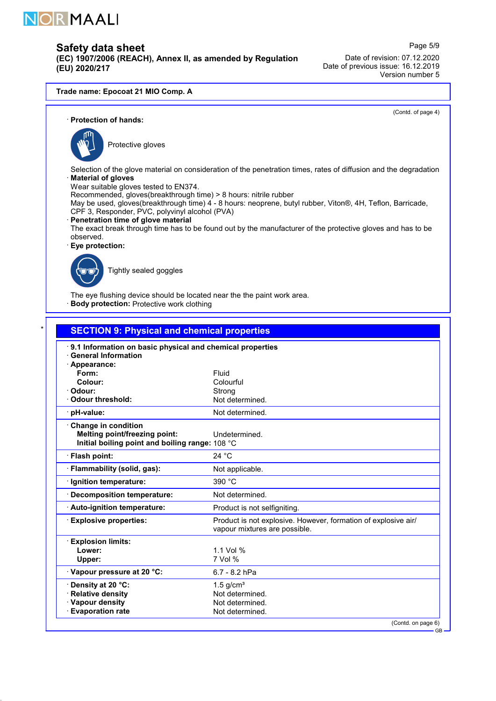

(EC) 1907/2006 (REACH), Annex II, as amended by Regulation (EU) 2020/217

Page 5/9 Date of revision: 07.12.2020 Date of previous issue: 16.12.2019 Version number 5

#### Trade name: Epocoat 21 MIO Comp. A

(Contd. of page 4)

### · Protection of hands:



Protective gloves

Selection of the glove material on consideration of the penetration times, rates of diffusion and the degradation **Material of gloves** 

Wear suitable gloves tested to EN374.

Recommended, gloves(breakthrough time) > 8 hours: nitrile rubber

May be used, gloves(breakthrough time) 4 - 8 hours: neoprene, butyl rubber, Viton®, 4H, Teflon, Barricade, CPF 3, Responder, PVC, polyvinyl alcohol (PVA)

### · Penetration time of glove material

The exact break through time has to be found out by the manufacturer of the protective gloves and has to be observed.

Eye protection:



52.0.1

Tightly sealed goggles

The eye flushing device should be located near the the paint work area. **Body protection:** Protective work clothing

| 9.1 Information on basic physical and chemical properties |                                                                                                 |  |  |  |
|-----------------------------------------------------------|-------------------------------------------------------------------------------------------------|--|--|--|
| <b>General Information</b>                                |                                                                                                 |  |  |  |
| · Appearance:<br>Form:                                    | Fluid                                                                                           |  |  |  |
| Colour:                                                   | Colourful                                                                                       |  |  |  |
| · Odour:                                                  | Strong                                                                                          |  |  |  |
| · Odour threshold:                                        | Not determined.                                                                                 |  |  |  |
| · pH-value:                                               | Not determined.                                                                                 |  |  |  |
| Change in condition                                       |                                                                                                 |  |  |  |
| <b>Melting point/freezing point:</b>                      | Undetermined.                                                                                   |  |  |  |
| Initial boiling point and boiling range: 108 °C           |                                                                                                 |  |  |  |
| · Flash point:                                            | 24 °C                                                                                           |  |  |  |
| · Flammability (solid, gas):                              | Not applicable.                                                                                 |  |  |  |
| · Ignition temperature:                                   | 390 °C                                                                                          |  |  |  |
| Decomposition temperature:                                | Not determined.                                                                                 |  |  |  |
| Auto-ignition temperature:                                | Product is not selfigniting.                                                                    |  |  |  |
| <b>Explosive properties:</b>                              | Product is not explosive. However, formation of explosive air/<br>vapour mixtures are possible. |  |  |  |
| <b>Explosion limits:</b>                                  |                                                                                                 |  |  |  |
| Lower:                                                    | 1.1 Vol %                                                                                       |  |  |  |
| Upper:                                                    | 7 Vol %                                                                                         |  |  |  |
| Vapour pressure at 20 °C:                                 | 6.7 - 8.2 hPa                                                                                   |  |  |  |
| Density at 20 °C:                                         | $1.5$ g/cm <sup>3</sup>                                                                         |  |  |  |
| · Relative density                                        | Not determined.                                                                                 |  |  |  |
| · Vapour density<br><b>Evaporation rate</b>               | Not determined.                                                                                 |  |  |  |

 $\overline{C}$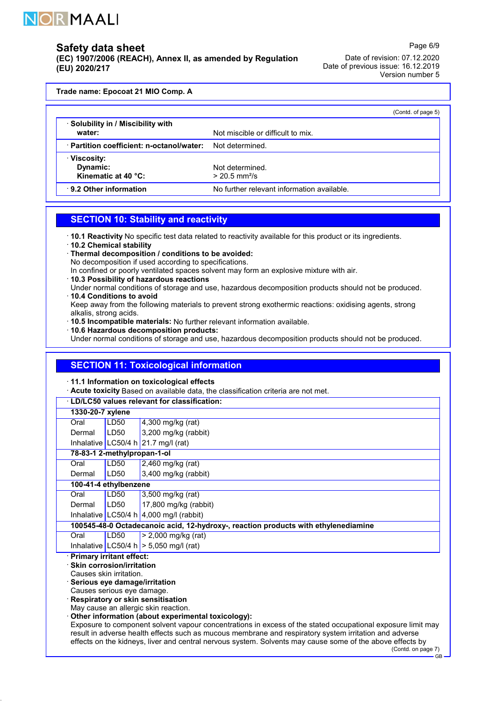

(EC) 1907/2006 (REACH), Annex II, as amended by Regulation (EU) 2020/217

Date of revision: 07.12.2020 Date of previous issue: 16.12.2019 Version number 5

Page 6/9

Trade name: Epocoat 21 MIO Comp. A

|                                               | (Contd. of page 5)                             |
|-----------------------------------------------|------------------------------------------------|
| Solubility in / Miscibility with<br>water:    | Not miscible or difficult to mix.              |
| Partition coefficient: n-octanol/water:       | Not determined.                                |
| Viscosity:<br>Dynamic:<br>Kinematic at 40 °C: | Not determined.<br>$> 20.5$ mm <sup>2</sup> /s |
| 9.2 Other information                         | No further relevant information available.     |

### SECTION 10: Stability and reactivity

- · 10.1 Reactivity No specific test data related to reactivity available for this product or its ingredients.
- · 10.2 Chemical stability

52.0.1

· Thermal decomposition / conditions to be avoided:

No decomposition if used according to specifications.

- In confined or poorly ventilated spaces solvent may form an explosive mixture with air.
- · 10.3 Possibility of hazardous reactions
- Under normal conditions of storage and use, hazardous decomposition products should not be produced. · 10.4 Conditions to avoid
- Keep away from the following materials to prevent strong exothermic reactions: oxidising agents, strong alkalis, strong acids.
- · 10.5 Incompatible materials: No further relevant information available.
- · 10.6 Hazardous decomposition products:
- Under normal conditions of storage and use, hazardous decomposition products should not be produced.

# SECTION 11: Toxicological information

· 11.1 Information on toxicological effects

· Acute toxicity Based on available data, the classification criteria are not met.

| <b>LD/LC50 values relevant for classification:</b> |                                                                                                                                                                                                                       |                                                    |  |  |  |  |  |
|----------------------------------------------------|-----------------------------------------------------------------------------------------------------------------------------------------------------------------------------------------------------------------------|----------------------------------------------------|--|--|--|--|--|
| 1330-20-7 xylene                                   |                                                                                                                                                                                                                       |                                                    |  |  |  |  |  |
| Oral                                               | LD50                                                                                                                                                                                                                  | 4,300 mg/kg (rat)                                  |  |  |  |  |  |
| Dermal                                             | LD50                                                                                                                                                                                                                  | 3,200 mg/kg (rabbit)                               |  |  |  |  |  |
|                                                    |                                                                                                                                                                                                                       | Inhalative LC50/4 h 21.7 mg/l (rat)                |  |  |  |  |  |
|                                                    | 78-83-1 2-methylpropan-1-ol                                                                                                                                                                                           |                                                    |  |  |  |  |  |
| Oral                                               | LD50                                                                                                                                                                                                                  | 2,460 mg/kg (rat)                                  |  |  |  |  |  |
| Dermal                                             | LD50                                                                                                                                                                                                                  | 3,400 mg/kg (rabbit)                               |  |  |  |  |  |
|                                                    | 100-41-4 ethylbenzene                                                                                                                                                                                                 |                                                    |  |  |  |  |  |
| Oral                                               | LD50                                                                                                                                                                                                                  | 3,500 mg/kg (rat)                                  |  |  |  |  |  |
| Dermal                                             | LD50                                                                                                                                                                                                                  | 17,800 mg/kg (rabbit)                              |  |  |  |  |  |
|                                                    |                                                                                                                                                                                                                       | Inhalative LC50/4 h $\vert$ 4,000 mg/l (rabbit)    |  |  |  |  |  |
|                                                    | 100545-48-0 Octadecanoic acid, 12-hydroxy-, reaction products with ethylenediamine                                                                                                                                    |                                                    |  |  |  |  |  |
| Oral                                               | LD50                                                                                                                                                                                                                  | $> 2,000$ mg/kg (rat)                              |  |  |  |  |  |
|                                                    |                                                                                                                                                                                                                       | Inhalative LC50/4 h $>$ 5,050 mg/l (rat)           |  |  |  |  |  |
|                                                    | <b>Primary irritant effect:</b>                                                                                                                                                                                       |                                                    |  |  |  |  |  |
|                                                    | <b>Skin corrosion/irritation</b><br>Causes skin irritation.                                                                                                                                                           |                                                    |  |  |  |  |  |
|                                                    |                                                                                                                                                                                                                       |                                                    |  |  |  |  |  |
|                                                    | Serious eye damage/irritation<br>Causes serious eye damage.                                                                                                                                                           |                                                    |  |  |  |  |  |
|                                                    | Respiratory or skin sensitisation                                                                                                                                                                                     |                                                    |  |  |  |  |  |
|                                                    | May cause an allergic skin reaction.                                                                                                                                                                                  |                                                    |  |  |  |  |  |
|                                                    |                                                                                                                                                                                                                       | Other information (about experimental toxicology): |  |  |  |  |  |
|                                                    | Exposure to component solvent vapour concentrations in excess of the stated occupational exposure limit may<br>result in adverse health effects such as mucous membrane and respiratory system irritation and adverse |                                                    |  |  |  |  |  |
|                                                    | effects on the kidneys, liver and central nervous system. Solvents may cause some of the above effects by<br>(Contd. on page 7)                                                                                       |                                                    |  |  |  |  |  |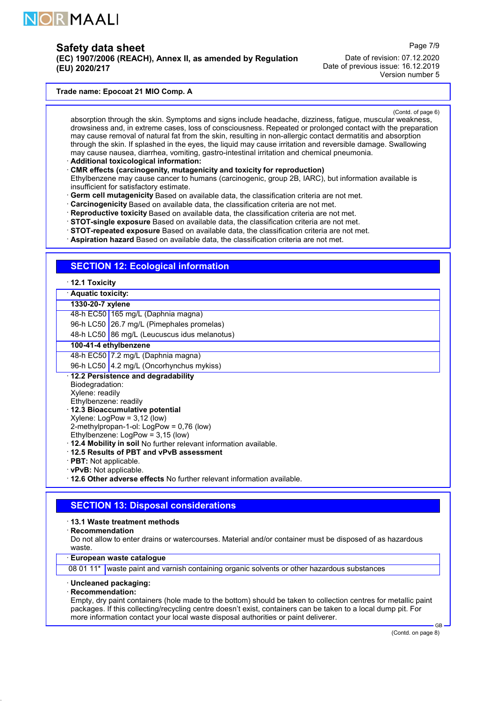

(EC) 1907/2006 (REACH), Annex II, as amended by Regulation (EU) 2020/217

Page 7/9

Date of revision: 07.12.2020 Date of previous issue: 16.12.2019 Version number 5

#### Trade name: Epocoat 21 MIO Comp. A

(Contd. of page 6)

absorption through the skin. Symptoms and signs include headache, dizziness, fatigue, muscular weakness, drowsiness and, in extreme cases, loss of consciousness. Repeated or prolonged contact with the preparation may cause removal of natural fat from the skin, resulting in non-allergic contact dermatitis and absorption through the skin. If splashed in the eyes, the liquid may cause irritation and reversible damage. Swallowing may cause nausea, diarrhea, vomiting, gastro-intestinal irritation and chemical pneumonia.

· Additional toxicological information:

· CMR effects (carcinogenity, mutagenicity and toxicity for reproduction)

- Ethylbenzene may cause cancer to humans (carcinogenic, group 2B, IARC), but information available is insufficient for satisfactory estimate.
- · Germ cell mutagenicity Based on available data, the classification criteria are not met.
- · Carcinogenicity Based on available data, the classification criteria are not met.
- · Reproductive toxicity Based on available data, the classification criteria are not met.
- · STOT-single exposure Based on available data, the classification criteria are not met.
- · STOT-repeated exposure Based on available data, the classification criteria are not met.
- · Aspiration hazard Based on available data, the classification criteria are not met.

# **SECTION 12: Ecological information**

- · 12.1 Toxicity
- · Aquatic toxicity:

#### 1330-20-7 xylene

48-h EC50 165 mg/L (Daphnia magna)

96-h LC50 26.7 mg/L (Pimephales promelas)

48-h LC50 86 mg/L (Leucuscus idus melanotus)

### 100-41-4 ethylbenzene

48-h EC50 7.2 mg/L (Daphnia magna)

96-h LC50 4.2 mg/L (Oncorhynchus mykiss)

### · 12.2 Persistence and degradability

- Biodegradation: Xylene: readily
- Ethylbenzene: readily
- · 12.3 Bioaccumulative potential
- Xylene: LogPow = 3,12 (low)
- 2-methylpropan-1-ol: LogPow = 0,76 (low)
- Ethylbenzene: LogPow = 3,15 (low)
- · 12.4 Mobility in soil No further relevant information available.
- · 12.5 Results of PBT and vPvB assessment
- · PBT: Not applicable.
- · vPvB: Not applicable.

· 12.6 Other adverse effects No further relevant information available.

### SECTION 13: Disposal considerations

#### · 13.1 Waste treatment methods

· Recommendation

Do not allow to enter drains or watercourses. Material and/or container must be disposed of as hazardous waste.

#### · European waste catalogue

08 01 11\* waste paint and varnish containing organic solvents or other hazardous substances

# · Uncleaned packaging:

· Recommendation:

52.0.1

Empty, dry paint containers (hole made to the bottom) should be taken to collection centres for metallic paint packages. If this collecting/recycling centre doesn't exist, containers can be taken to a local dump pit. For more information contact your local waste disposal authorities or paint deliverer.

GB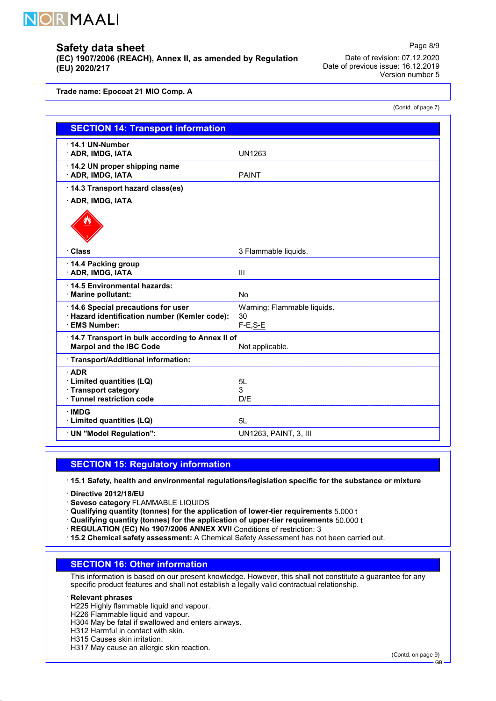

(EC) 1907/2006 (REACH), Annex II, as amended by Regulation (EU) 2020/217

Date of revision: 07.12.2020 Date of previous issue: 16.12.2019 Version number 5

Page 8/9

(Contd. of page 7)

Trade name: Epocoat 21 MIO Comp. A

| <b>SECTION 14: Transport information</b>                                                                 |                                                  |  |  |  |
|----------------------------------------------------------------------------------------------------------|--------------------------------------------------|--|--|--|
| 14.1 UN-Number<br>ADR, IMDG, IATA                                                                        | <b>UN1263</b>                                    |  |  |  |
| 14.2 UN proper shipping name<br>· ADR, IMDG, IATA                                                        | <b>PAINT</b>                                     |  |  |  |
| 14.3 Transport hazard class(es)                                                                          |                                                  |  |  |  |
| · ADR, IMDG, IATA                                                                                        |                                                  |  |  |  |
| · Class                                                                                                  | 3 Flammable liquids.                             |  |  |  |
| 14.4 Packing group<br>· ADR, IMDG, IATA                                                                  | $\mathbf{III}$                                   |  |  |  |
| 14.5 Environmental hazards:<br>· Marine pollutant:                                                       | No                                               |  |  |  |
| 14.6 Special precautions for user<br>· Hazard identification number (Kemler code):<br><b>EMS Number:</b> | Warning: Flammable liquids.<br>30<br>$F-E$ , S-E |  |  |  |
| 14.7 Transport in bulk according to Annex II of<br><b>Marpol and the IBC Code</b><br>Not applicable.     |                                                  |  |  |  |
| Transport/Additional information:                                                                        |                                                  |  |  |  |
| <b>ADR</b><br>· Limited quantities (LQ)<br>· Transport category<br>· Tunnel restriction code             | 5L<br>3<br>D/E                                   |  |  |  |
| <b>IMDG</b><br>· Limited quantities (LQ)                                                                 | 5L                                               |  |  |  |
| · UN "Model Regulation":                                                                                 | UN1263, PAINT, 3, III                            |  |  |  |

# SECTION 15: Regulatory information

· 15.1 Safety, health and environmental regulations/legislation specific for the substance or mixture

- · Directive 2012/18/EU
- · Seveso category FLAMMABLE LIQUIDS

 $\cdot$  Qualifying quantity (tonnes) for the application of lower-tier requirements 5.000 t

- · Qualifying quantity (tonnes) for the application of upper-tier requirements 50.000 t
- · REGULATION (EC) No 1907/2006 ANNEX XVII Conditions of restriction: 3
- · 15.2 Chemical safety assessment: A Chemical Safety Assessment has not been carried out.

# SECTION 16: Other information

This information is based on our present knowledge. However, this shall not constitute a guarantee for any specific product features and shall not establish a legally valid contractual relationship.

#### · Relevant phrases

52.0.1

H225 Highly flammable liquid and vapour.

H226 Flammable liquid and vapour.

H304 May be fatal if swallowed and enters airways.

H312 Harmful in contact with skin.

- H315 Causes skin irritation.
- H317 May cause an allergic skin reaction.